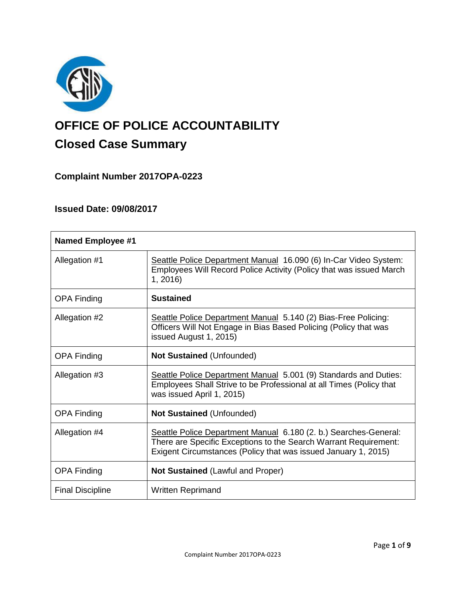

# **OFFICE OF POLICE ACCOUNTABILITY**

# **Closed Case Summary**

## **Complaint Number 2017OPA-0223**

### **Issued Date: 09/08/2017**

| <b>Named Employee #1</b> |                                                                                                                                                                                                        |
|--------------------------|--------------------------------------------------------------------------------------------------------------------------------------------------------------------------------------------------------|
| Allegation #1            | Seattle Police Department Manual 16.090 (6) In-Car Video System:<br>Employees Will Record Police Activity (Policy that was issued March<br>1, 2016                                                     |
| <b>OPA Finding</b>       | <b>Sustained</b>                                                                                                                                                                                       |
| Allegation #2            | Seattle Police Department Manual 5.140 (2) Bias-Free Policing:<br>Officers Will Not Engage in Bias Based Policing (Policy that was<br>issued August 1, 2015)                                           |
| <b>OPA Finding</b>       | <b>Not Sustained (Unfounded)</b>                                                                                                                                                                       |
| Allegation #3            | Seattle Police Department Manual 5.001 (9) Standards and Duties:<br>Employees Shall Strive to be Professional at all Times (Policy that<br>was issued April 1, 2015)                                   |
| <b>OPA Finding</b>       | <b>Not Sustained (Unfounded)</b>                                                                                                                                                                       |
| Allegation #4            | Seattle Police Department Manual 6.180 (2. b.) Searches-General:<br>There are Specific Exceptions to the Search Warrant Requirement:<br>Exigent Circumstances (Policy that was issued January 1, 2015) |
| <b>OPA Finding</b>       | <b>Not Sustained (Lawful and Proper)</b>                                                                                                                                                               |
| <b>Final Discipline</b>  | Written Reprimand                                                                                                                                                                                      |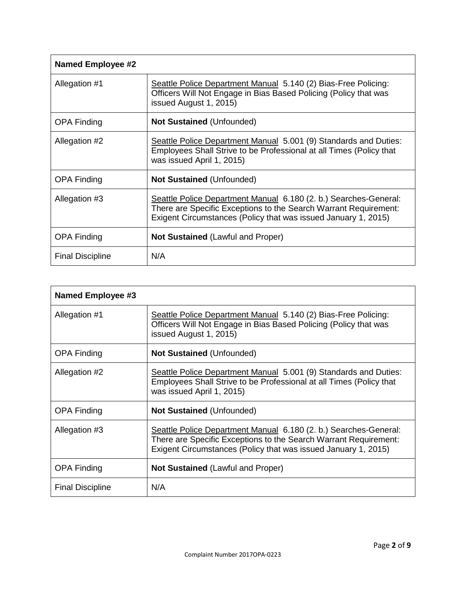| <b>Named Employee #2</b> |                                                                                                                                                                                                        |  |
|--------------------------|--------------------------------------------------------------------------------------------------------------------------------------------------------------------------------------------------------|--|
| Allegation #1            | Seattle Police Department Manual 5.140 (2) Bias-Free Policing:<br>Officers Will Not Engage in Bias Based Policing (Policy that was<br>issued August 1, 2015)                                           |  |
| <b>OPA Finding</b>       | <b>Not Sustained (Unfounded)</b>                                                                                                                                                                       |  |
| Allegation #2            | Seattle Police Department Manual 5.001 (9) Standards and Duties:<br>Employees Shall Strive to be Professional at all Times (Policy that<br>was issued April 1, 2015)                                   |  |
| <b>OPA Finding</b>       | <b>Not Sustained (Unfounded)</b>                                                                                                                                                                       |  |
| Allegation #3            | Seattle Police Department Manual 6.180 (2. b.) Searches-General:<br>There are Specific Exceptions to the Search Warrant Requirement:<br>Exigent Circumstances (Policy that was issued January 1, 2015) |  |
| <b>OPA Finding</b>       | <b>Not Sustained (Lawful and Proper)</b>                                                                                                                                                               |  |
| <b>Final Discipline</b>  | N/A                                                                                                                                                                                                    |  |

| Named Employee #3       |                                                                                                                                                                                                        |
|-------------------------|--------------------------------------------------------------------------------------------------------------------------------------------------------------------------------------------------------|
| Allegation #1           | Seattle Police Department Manual 5.140 (2) Bias-Free Policing:<br>Officers Will Not Engage in Bias Based Policing (Policy that was<br>issued August 1, 2015)                                           |
| <b>OPA Finding</b>      | <b>Not Sustained (Unfounded)</b>                                                                                                                                                                       |
| Allegation #2           | Seattle Police Department Manual 5.001 (9) Standards and Duties:<br>Employees Shall Strive to be Professional at all Times (Policy that<br>was issued April 1, 2015)                                   |
| <b>OPA Finding</b>      | <b>Not Sustained (Unfounded)</b>                                                                                                                                                                       |
| Allegation #3           | Seattle Police Department Manual 6.180 (2. b.) Searches-General:<br>There are Specific Exceptions to the Search Warrant Requirement:<br>Exigent Circumstances (Policy that was issued January 1, 2015) |
| <b>OPA Finding</b>      | Not Sustained (Lawful and Proper)                                                                                                                                                                      |
| <b>Final Discipline</b> | N/A                                                                                                                                                                                                    |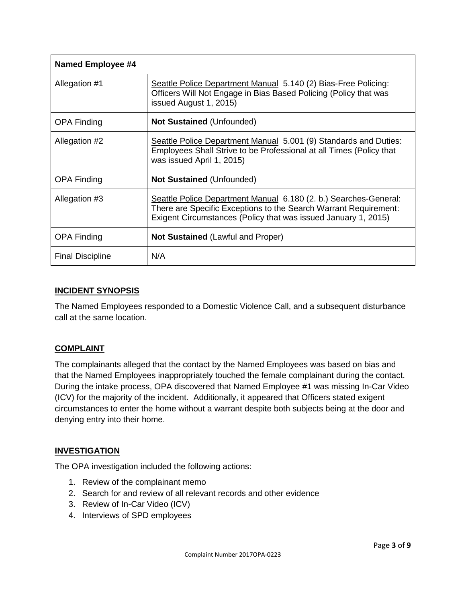| <b>Named Employee #4</b> |                                                                                                                                                                                                        |  |
|--------------------------|--------------------------------------------------------------------------------------------------------------------------------------------------------------------------------------------------------|--|
| Allegation #1            | Seattle Police Department Manual 5.140 (2) Bias-Free Policing:<br>Officers Will Not Engage in Bias Based Policing (Policy that was<br>issued August 1, 2015)                                           |  |
| <b>OPA Finding</b>       | <b>Not Sustained (Unfounded)</b>                                                                                                                                                                       |  |
| Allegation #2            | Seattle Police Department Manual 5.001 (9) Standards and Duties:<br>Employees Shall Strive to be Professional at all Times (Policy that<br>was issued April 1, 2015)                                   |  |
| <b>OPA Finding</b>       | <b>Not Sustained (Unfounded)</b>                                                                                                                                                                       |  |
| Allegation #3            | Seattle Police Department Manual 6.180 (2. b.) Searches-General:<br>There are Specific Exceptions to the Search Warrant Requirement:<br>Exigent Circumstances (Policy that was issued January 1, 2015) |  |
| <b>OPA Finding</b>       | <b>Not Sustained (Lawful and Proper)</b>                                                                                                                                                               |  |
| <b>Final Discipline</b>  | N/A                                                                                                                                                                                                    |  |

#### **INCIDENT SYNOPSIS**

The Named Employees responded to a Domestic Violence Call, and a subsequent disturbance call at the same location.

#### **COMPLAINT**

The complainants alleged that the contact by the Named Employees was based on bias and that the Named Employees inappropriately touched the female complainant during the contact. During the intake process, OPA discovered that Named Employee #1 was missing In-Car Video (ICV) for the majority of the incident. Additionally, it appeared that Officers stated exigent circumstances to enter the home without a warrant despite both subjects being at the door and denying entry into their home.

#### **INVESTIGATION**

The OPA investigation included the following actions:

- 1. Review of the complainant memo
- 2. Search for and review of all relevant records and other evidence
- 3. Review of In-Car Video (ICV)
- 4. Interviews of SPD employees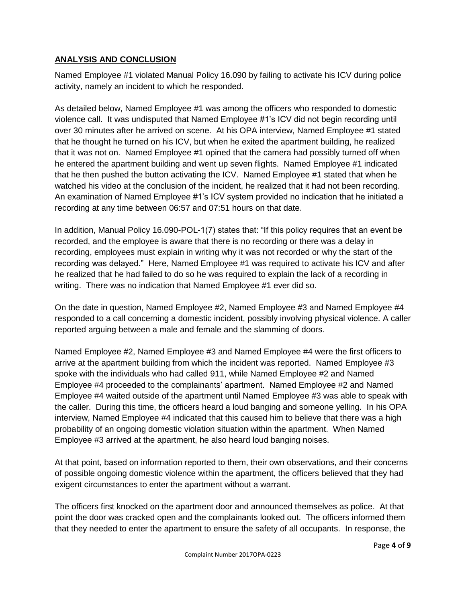#### **ANALYSIS AND CONCLUSION**

Named Employee #1 violated Manual Policy 16.090 by failing to activate his ICV during police activity, namely an incident to which he responded.

As detailed below, Named Employee #1 was among the officers who responded to domestic violence call. It was undisputed that Named Employee #1's ICV did not begin recording until over 30 minutes after he arrived on scene. At his OPA interview, Named Employee #1 stated that he thought he turned on his ICV, but when he exited the apartment building, he realized that it was not on. Named Employee #1 opined that the camera had possibly turned off when he entered the apartment building and went up seven flights. Named Employee #1 indicated that he then pushed the button activating the ICV. Named Employee #1 stated that when he watched his video at the conclusion of the incident, he realized that it had not been recording. An examination of Named Employee #1's ICV system provided no indication that he initiated a recording at any time between 06:57 and 07:51 hours on that date.

In addition, Manual Policy 16.090-POL-1(7) states that: "If this policy requires that an event be recorded, and the employee is aware that there is no recording or there was a delay in recording, employees must explain in writing why it was not recorded or why the start of the recording was delayed." Here, Named Employee #1 was required to activate his ICV and after he realized that he had failed to do so he was required to explain the lack of a recording in writing. There was no indication that Named Employee #1 ever did so.

On the date in question, Named Employee #2, Named Employee #3 and Named Employee #4 responded to a call concerning a domestic incident, possibly involving physical violence. A caller reported arguing between a male and female and the slamming of doors.

Named Employee #2, Named Employee #3 and Named Employee #4 were the first officers to arrive at the apartment building from which the incident was reported. Named Employee #3 spoke with the individuals who had called 911, while Named Employee #2 and Named Employee #4 proceeded to the complainants' apartment. Named Employee #2 and Named Employee #4 waited outside of the apartment until Named Employee #3 was able to speak with the caller. During this time, the officers heard a loud banging and someone yelling. In his OPA interview, Named Employee #4 indicated that this caused him to believe that there was a high probability of an ongoing domestic violation situation within the apartment. When Named Employee #3 arrived at the apartment, he also heard loud banging noises.

At that point, based on information reported to them, their own observations, and their concerns of possible ongoing domestic violence within the apartment, the officers believed that they had exigent circumstances to enter the apartment without a warrant.

The officers first knocked on the apartment door and announced themselves as police. At that point the door was cracked open and the complainants looked out. The officers informed them that they needed to enter the apartment to ensure the safety of all occupants. In response, the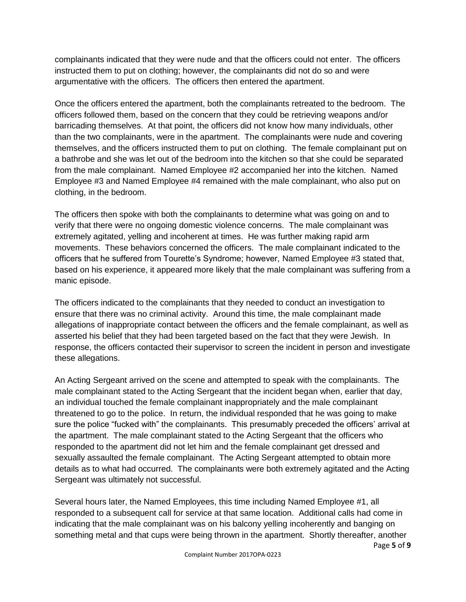complainants indicated that they were nude and that the officers could not enter. The officers instructed them to put on clothing; however, the complainants did not do so and were argumentative with the officers. The officers then entered the apartment.

Once the officers entered the apartment, both the complainants retreated to the bedroom. The officers followed them, based on the concern that they could be retrieving weapons and/or barricading themselves. At that point, the officers did not know how many individuals, other than the two complainants, were in the apartment. The complainants were nude and covering themselves, and the officers instructed them to put on clothing. The female complainant put on a bathrobe and she was let out of the bedroom into the kitchen so that she could be separated from the male complainant. Named Employee #2 accompanied her into the kitchen. Named Employee #3 and Named Employee #4 remained with the male complainant, who also put on clothing, in the bedroom.

The officers then spoke with both the complainants to determine what was going on and to verify that there were no ongoing domestic violence concerns. The male complainant was extremely agitated, yelling and incoherent at times. He was further making rapid arm movements. These behaviors concerned the officers. The male complainant indicated to the officers that he suffered from Tourette's Syndrome; however, Named Employee #3 stated that, based on his experience, it appeared more likely that the male complainant was suffering from a manic episode.

The officers indicated to the complainants that they needed to conduct an investigation to ensure that there was no criminal activity. Around this time, the male complainant made allegations of inappropriate contact between the officers and the female complainant, as well as asserted his belief that they had been targeted based on the fact that they were Jewish. In response, the officers contacted their supervisor to screen the incident in person and investigate these allegations.

An Acting Sergeant arrived on the scene and attempted to speak with the complainants. The male complainant stated to the Acting Sergeant that the incident began when, earlier that day, an individual touched the female complainant inappropriately and the male complainant threatened to go to the police. In return, the individual responded that he was going to make sure the police "fucked with" the complainants. This presumably preceded the officers' arrival at the apartment. The male complainant stated to the Acting Sergeant that the officers who responded to the apartment did not let him and the female complainant get dressed and sexually assaulted the female complainant. The Acting Sergeant attempted to obtain more details as to what had occurred. The complainants were both extremely agitated and the Acting Sergeant was ultimately not successful.

Several hours later, the Named Employees, this time including Named Employee #1, all responded to a subsequent call for service at that same location. Additional calls had come in indicating that the male complainant was on his balcony yelling incoherently and banging on something metal and that cups were being thrown in the apartment. Shortly thereafter, another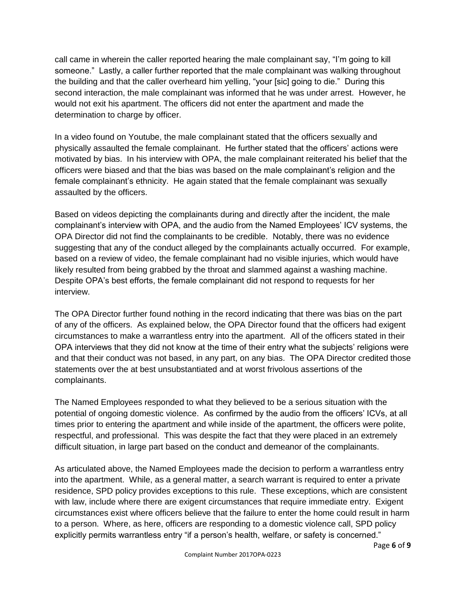call came in wherein the caller reported hearing the male complainant say, "I'm going to kill someone." Lastly, a caller further reported that the male complainant was walking throughout the building and that the caller overheard him yelling, "your [sic] going to die." During this second interaction, the male complainant was informed that he was under arrest. However, he would not exit his apartment. The officers did not enter the apartment and made the determination to charge by officer.

In a video found on Youtube, the male complainant stated that the officers sexually and physically assaulted the female complainant. He further stated that the officers' actions were motivated by bias. In his interview with OPA, the male complainant reiterated his belief that the officers were biased and that the bias was based on the male complainant's religion and the female complainant's ethnicity. He again stated that the female complainant was sexually assaulted by the officers.

Based on videos depicting the complainants during and directly after the incident, the male complainant's interview with OPA, and the audio from the Named Employees' ICV systems, the OPA Director did not find the complainants to be credible. Notably, there was no evidence suggesting that any of the conduct alleged by the complainants actually occurred. For example, based on a review of video, the female complainant had no visible injuries, which would have likely resulted from being grabbed by the throat and slammed against a washing machine. Despite OPA's best efforts, the female complainant did not respond to requests for her interview.

The OPA Director further found nothing in the record indicating that there was bias on the part of any of the officers. As explained below, the OPA Director found that the officers had exigent circumstances to make a warrantless entry into the apartment. All of the officers stated in their OPA interviews that they did not know at the time of their entry what the subjects' religions were and that their conduct was not based, in any part, on any bias. The OPA Director credited those statements over the at best unsubstantiated and at worst frivolous assertions of the complainants.

The Named Employees responded to what they believed to be a serious situation with the potential of ongoing domestic violence. As confirmed by the audio from the officers' ICVs, at all times prior to entering the apartment and while inside of the apartment, the officers were polite, respectful, and professional. This was despite the fact that they were placed in an extremely difficult situation, in large part based on the conduct and demeanor of the complainants.

As articulated above, the Named Employees made the decision to perform a warrantless entry into the apartment. While, as a general matter, a search warrant is required to enter a private residence, SPD policy provides exceptions to this rule. These exceptions, which are consistent with law, include where there are exigent circumstances that require immediate entry. Exigent circumstances exist where officers believe that the failure to enter the home could result in harm to a person. Where, as here, officers are responding to a domestic violence call, SPD policy explicitly permits warrantless entry "if a person's health, welfare, or safety is concerned."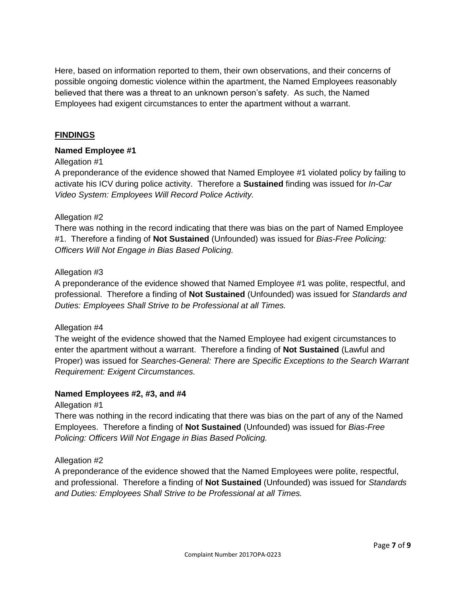Here, based on information reported to them, their own observations, and their concerns of possible ongoing domestic violence within the apartment, the Named Employees reasonably believed that there was a threat to an unknown person's safety. As such, the Named Employees had exigent circumstances to enter the apartment without a warrant.

#### **FINDINGS**

#### **Named Employee #1**

#### Allegation #1

A preponderance of the evidence showed that Named Employee #1 violated policy by failing to activate his ICV during police activity. Therefore a **Sustained** finding was issued for *In-Car Video System: Employees Will Record Police Activity.*

#### Allegation #2

There was nothing in the record indicating that there was bias on the part of Named Employee #1. Therefore a finding of **Not Sustained** (Unfounded) was issued for *Bias-Free Policing: Officers Will Not Engage in Bias Based Policing.*

#### Allegation #3

A preponderance of the evidence showed that Named Employee #1 was polite, respectful, and professional. Therefore a finding of **Not Sustained** (Unfounded) was issued for *Standards and Duties: Employees Shall Strive to be Professional at all Times.*

#### Allegation #4

The weight of the evidence showed that the Named Employee had exigent circumstances to enter the apartment without a warrant. Therefore a finding of **Not Sustained** (Lawful and Proper) was issued for *Searches-General: There are Specific Exceptions to the Search Warrant Requirement: Exigent Circumstances.*

#### **Named Employees #2, #3, and #4**

Allegation #1

There was nothing in the record indicating that there was bias on the part of any of the Named Employees. Therefore a finding of **Not Sustained** (Unfounded) was issued for *Bias-Free Policing: Officers Will Not Engage in Bias Based Policing.*

#### Allegation #2

A preponderance of the evidence showed that the Named Employees were polite, respectful, and professional. Therefore a finding of **Not Sustained** (Unfounded) was issued for *Standards and Duties: Employees Shall Strive to be Professional at all Times.*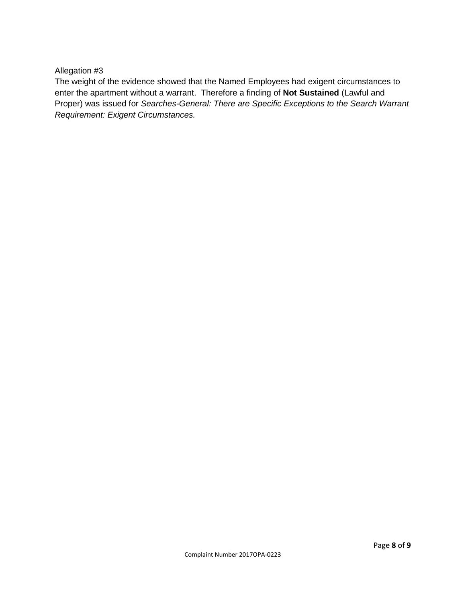Allegation #3

The weight of the evidence showed that the Named Employees had exigent circumstances to enter the apartment without a warrant. Therefore a finding of **Not Sustained** (Lawful and Proper) was issued for *Searches-General: There are Specific Exceptions to the Search Warrant Requirement: Exigent Circumstances.*